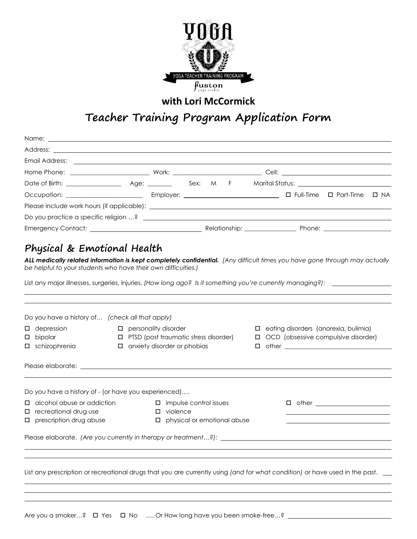

### **with Lori McCormick**

# **Teacher Training Program Application Form**

| Email Address: <u>Dental Address and Charles and Charles and Charles and Charles and Charles and Charles and Charles and Charles and Charles and Charles and Charles and Charles and Charles and Charles and Charles and Charles</u>                                                                                                                |                                                                                                                        |  |  |  |  |                                                                                      |  |
|-----------------------------------------------------------------------------------------------------------------------------------------------------------------------------------------------------------------------------------------------------------------------------------------------------------------------------------------------------|------------------------------------------------------------------------------------------------------------------------|--|--|--|--|--------------------------------------------------------------------------------------|--|
|                                                                                                                                                                                                                                                                                                                                                     |                                                                                                                        |  |  |  |  |                                                                                      |  |
|                                                                                                                                                                                                                                                                                                                                                     |                                                                                                                        |  |  |  |  |                                                                                      |  |
|                                                                                                                                                                                                                                                                                                                                                     |                                                                                                                        |  |  |  |  |                                                                                      |  |
|                                                                                                                                                                                                                                                                                                                                                     |                                                                                                                        |  |  |  |  |                                                                                      |  |
|                                                                                                                                                                                                                                                                                                                                                     |                                                                                                                        |  |  |  |  |                                                                                      |  |
|                                                                                                                                                                                                                                                                                                                                                     |                                                                                                                        |  |  |  |  |                                                                                      |  |
| Physical & Emotional Health<br>ALL medically related information is kept completely confidential. (Any difficult times you have gone through may actually<br>be helpful to your students who have their own difficulties.)                                                                                                                          |                                                                                                                        |  |  |  |  |                                                                                      |  |
| List any major illnesses, surgeries, injuries. (How long ago? Is it something you're currently managing?): ___________                                                                                                                                                                                                                              |                                                                                                                        |  |  |  |  |                                                                                      |  |
| Do you have a history of (check all that apply)<br>$\Box$ depression<br>$\square$ bipolar<br>□ schizophrenia<br>Please elaborate: <u>electricity</u> and the contract of the contract of the contract of the contract of the contract of the contract of the contract of the contract of the contract of the contract of the contract of the contra | $\square$ personality disorder<br><b>I</b> PTSD (post traumatic stress disorder)<br>$\Box$ anxiety disorder or phobias |  |  |  |  | $\Box$ eating disorders (anorexia, bulimia)<br>□ OCD (obsessive compulsive disorder) |  |
| Do you have a history of - (or have you experienced)<br>$\Box$ alcohol abuse or addiction<br>$\Box$ recreational drug use<br>$\square$ prescription drug abuse                                                                                                                                                                                      | $\Box$ impulse control issues<br>$\square$ violence<br>$\Box$ physical or emotional abuse                              |  |  |  |  |                                                                                      |  |
| Please elaborate. (Are you currently in therapy or treatment?):                                                                                                                                                                                                                                                                                     |                                                                                                                        |  |  |  |  |                                                                                      |  |
| List any prescription or recreational drugs that you are currently using (and for what condition) or have used in the past.                                                                                                                                                                                                                         |                                                                                                                        |  |  |  |  |                                                                                      |  |

Are you a smoker...? □ Yes □ No .... Or How long have you been smoke-free...? \_\_\_\_\_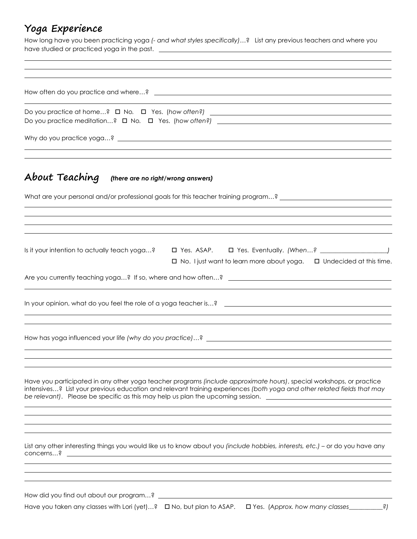## **Yoga Experience**

How long have you been practicing yoga *(- and what styles specifically)*…? List any previous teachers and where you have studied or practiced yoga in the past.

| ,我们也不会有什么。""我们的人,我们也不会有什么?""我们的人,我们也不会有什么?""我们的人,我们也不会有什么?""我们的人,我们也不会有什么?""我们的人                                                                                                                                                                                                                                                                       |
|--------------------------------------------------------------------------------------------------------------------------------------------------------------------------------------------------------------------------------------------------------------------------------------------------------------------------------------------------------|
| $About \, Teaching$ (there are no right/wrong answers)                                                                                                                                                                                                                                                                                                 |
| What are your personal and/or professional goals for this teacher training program? _______________________                                                                                                                                                                                                                                            |
|                                                                                                                                                                                                                                                                                                                                                        |
| □ No. I just want to learn more about yoga. □ Undecided at this time.                                                                                                                                                                                                                                                                                  |
|                                                                                                                                                                                                                                                                                                                                                        |
|                                                                                                                                                                                                                                                                                                                                                        |
|                                                                                                                                                                                                                                                                                                                                                        |
|                                                                                                                                                                                                                                                                                                                                                        |
| Have you participated in any other yoga teacher programs (include approximate hours), special workshops, or practice<br>intensives? List your previous education and relevant training experiences (both yoga and other related fields that may<br>be relevant). Please be specific as this may help us plan the upcoming session. ___________________ |
|                                                                                                                                                                                                                                                                                                                                                        |
| List any other interesting things you would like us to know about you (include hobbies, interests, etc.) – or do you have any                                                                                                                                                                                                                          |
|                                                                                                                                                                                                                                                                                                                                                        |
|                                                                                                                                                                                                                                                                                                                                                        |

Have you taken any classes with Lori (yet)...? **I** No, but plan to ASAP. **II** Yes. (Approx. how many classes \_\_\_\_\_\_\_\_\_?)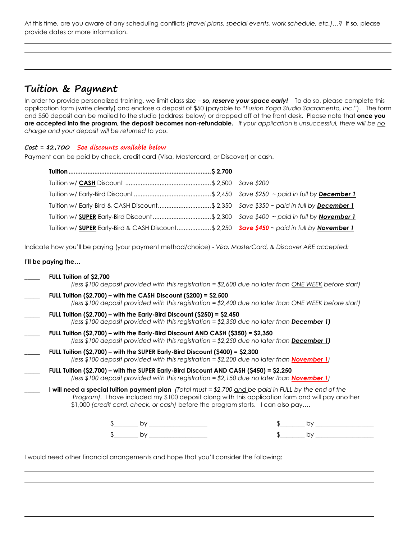At this time, are you aware of any scheduling conflicts *(travel plans, special events, work schedule, etc.)*…? If so, please provide dates or more information.

### **Tuition & Payment**

In order to provide personalized training, we limit class size – *so, reserve your space early!* To do so, please complete this application form (write clearly) and enclose a deposit of \$50 (payable to "*Fusion Yoga Studio Sacramento, Inc*."). The form and \$50 deposit can be mailed to the studio (address below) or dropped off at the front desk. Please note that **once you are accepted into the program, the deposit becomes non-refundable.** *If your application is unsuccessful, there will be no charge and your deposit will be returned to you.* 

### **Cost = \$2,700 See discounts available below**

Payment can be paid by check, credit card (Visa, Mastercard, or Discover) or cash.

| Tuition w/ Early-Bird & CASH Discount\$ 2,350 Save \$350 ~ paid in full by December 1       |  |
|---------------------------------------------------------------------------------------------|--|
| Tuition w/ SUPER Early-Bird Discount \$ 2,300 Save \$400 ~ paid in full by November 1       |  |
| Tuition w/ SUPER Early-Bird & CASH Discount\$ 2,250 Save \$450 ~ paid in full by November 1 |  |

Indicate how you'll be paying (your payment method/choice) - *Visa, MasterCard, & Discover ARE accepted:*

#### **I'll be paying the…**

| FULL Tuition of \$2,700<br>(less \$100 deposit provided with this registration = \$2,600 due no later than ONE WEEK before start)                                                                                                                                                                            |    |
|--------------------------------------------------------------------------------------------------------------------------------------------------------------------------------------------------------------------------------------------------------------------------------------------------------------|----|
| FULL Tuition (\$2,700) – with the CASH Discount (\$200) = \$2,500<br>(less \$100 deposit provided with this registration = \$2,400 due no later than ONE WEEK before start)                                                                                                                                  |    |
| FULL Tuition (\$2,700) – with the Early-Bird Discount (\$250) = \$2,450<br>(less \$100 deposit provided with this registration = \$2,350 due no later than <b>December 1)</b>                                                                                                                                |    |
| FULL Tuition (\$2,700) – with the Early-Bird Discount <u>AND</u> CASH (\$350) = \$2,350<br>(less \$100 deposit provided with this registration = \$2,250 due no later than <b><u>December 1</u>)</b>                                                                                                         |    |
| FULL Tuition $(S2,700)$ – with the SUPER Early-Bird Discount $(S400) = S2,300$<br>(less \$100 deposit provided with this registration = \$2,200 due no later than <b>November 1</b> )                                                                                                                        |    |
| FULL Tuition (\$2,700) – with the SUPER Early-Bird Discount $\overline{AND}$ CASH (\$450) = \$2,250<br>(less \$100 deposit provided with this registration = \$2,150 due no later than <mark>November 1</mark> )                                                                                             |    |
| <b>I will need a special tuition payment plan</b> (Total must = \$2,700 <u>and b</u> e paid in FULL by the end of the<br>Program). I have included my \$100 deposit along with this application form and will pay another<br>\$1,000 (credit card, check, or cash) before the program starts. I can also pay |    |
| by                                                                                                                                                                                                                                                                                                           | bv |
| by                                                                                                                                                                                                                                                                                                           | by |

I would need other financial arrangements and hope that you'll consider the following: